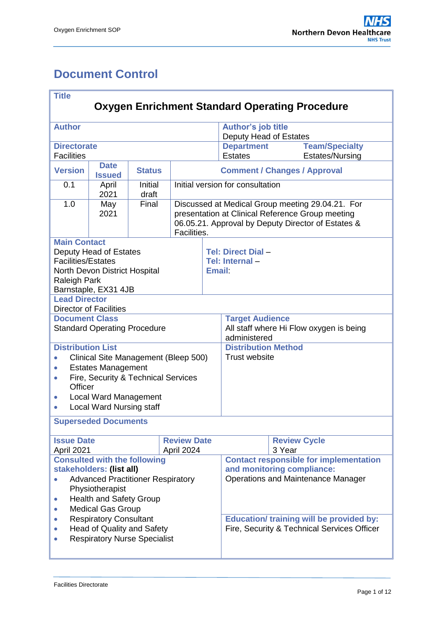# <span id="page-0-0"></span>**Document Control**

| <b>Title</b>                                                                  |                                      |                  |                                                         |                                                                                                                                                                           |                                               |  |  |  |  |
|-------------------------------------------------------------------------------|--------------------------------------|------------------|---------------------------------------------------------|---------------------------------------------------------------------------------------------------------------------------------------------------------------------------|-----------------------------------------------|--|--|--|--|
| <b>Oxygen Enrichment Standard Operating Procedure</b>                         |                                      |                  |                                                         |                                                                                                                                                                           |                                               |  |  |  |  |
| <b>Author</b>                                                                 |                                      |                  |                                                         | <b>Author's job title</b><br>Deputy Head of Estates                                                                                                                       |                                               |  |  |  |  |
| <b>Directorate</b><br><b>Facilities</b>                                       |                                      |                  |                                                         | <b>Department</b><br><b>Estates</b>                                                                                                                                       | <b>Team/Specialty</b><br>Estates/Nursing      |  |  |  |  |
| <b>Date</b><br><b>Version</b><br><b>Status</b><br><b>Issued</b>               |                                      |                  | <b>Comment / Changes / Approval</b>                     |                                                                                                                                                                           |                                               |  |  |  |  |
| 0.1                                                                           | April<br>2021                        | Initial<br>draft |                                                         |                                                                                                                                                                           | Initial version for consultation              |  |  |  |  |
| 1.0                                                                           | May<br>2021                          | Final            |                                                         | Discussed at Medical Group meeting 29.04.21. For<br>presentation at Clinical Reference Group meeting<br>06.05.21. Approval by Deputy Director of Estates &<br>Facilities. |                                               |  |  |  |  |
| <b>Main Contact</b>                                                           |                                      |                  |                                                         |                                                                                                                                                                           |                                               |  |  |  |  |
| <b>Facilities/Estates</b>                                                     | Deputy Head of Estates               |                  |                                                         |                                                                                                                                                                           | Tel: Direct Dial-<br>Tel: Internal-           |  |  |  |  |
|                                                                               | North Devon District Hospital        |                  |                                                         | <b>Email</b>                                                                                                                                                              |                                               |  |  |  |  |
| Raleigh Park                                                                  |                                      |                  |                                                         |                                                                                                                                                                           |                                               |  |  |  |  |
| <b>Lead Director</b>                                                          | Barnstaple, EX31 4JB                 |                  |                                                         |                                                                                                                                                                           |                                               |  |  |  |  |
|                                                                               | <b>Director of Facilities</b>        |                  |                                                         |                                                                                                                                                                           |                                               |  |  |  |  |
| <b>Document Class</b>                                                         |                                      |                  |                                                         |                                                                                                                                                                           | <b>Target Audience</b>                        |  |  |  |  |
| <b>Standard Operating Procedure</b>                                           |                                      |                  | All staff where Hi Flow oxygen is being<br>administered |                                                                                                                                                                           |                                               |  |  |  |  |
| <b>Distribution List</b>                                                      |                                      |                  |                                                         |                                                                                                                                                                           | <b>Distribution Method</b>                    |  |  |  |  |
|                                                                               | Clinical Site Management (Bleep 500) |                  |                                                         |                                                                                                                                                                           | Trust website                                 |  |  |  |  |
| <b>Estates Management</b><br>$\bullet$<br>Fire, Security & Technical Services |                                      |                  |                                                         |                                                                                                                                                                           |                                               |  |  |  |  |
| Officer                                                                       |                                      |                  |                                                         |                                                                                                                                                                           |                                               |  |  |  |  |
| <b>Local Ward Management</b><br>$\bullet$                                     |                                      |                  |                                                         |                                                                                                                                                                           |                                               |  |  |  |  |
| <b>Local Ward Nursing staff</b>                                               |                                      |                  |                                                         |                                                                                                                                                                           |                                               |  |  |  |  |
|                                                                               | <b>Superseded Documents</b>          |                  |                                                         |                                                                                                                                                                           |                                               |  |  |  |  |
| <b>Issue Date</b><br><b>Review Date</b><br>April 2021<br>April 2024           |                                      |                  |                                                         |                                                                                                                                                                           | <b>Review Cycle</b><br>3 Year                 |  |  |  |  |
|                                                                               | <b>Consulted with the following</b>  |                  |                                                         |                                                                                                                                                                           | <b>Contact responsible for implementation</b> |  |  |  |  |
| stakeholders: (list all)                                                      |                                      |                  |                                                         | and monitoring compliance:                                                                                                                                                |                                               |  |  |  |  |
| <b>Advanced Practitioner Respiratory</b><br>Physiotherapist                   |                                      |                  |                                                         | <b>Operations and Maintenance Manager</b>                                                                                                                                 |                                               |  |  |  |  |
| <b>Health and Safety Group</b><br>$\bullet$                                   |                                      |                  |                                                         |                                                                                                                                                                           |                                               |  |  |  |  |
| <b>Medical Gas Group</b><br>$\bullet$                                         |                                      |                  |                                                         |                                                                                                                                                                           |                                               |  |  |  |  |
| <b>Respiratory Consultant</b><br>$\bullet$                                    |                                      |                  |                                                         | <b>Education/ training will be provided by:</b>                                                                                                                           |                                               |  |  |  |  |
| Head of Quality and Safety                                                    |                                      |                  | Fire, Security & Technical Services Officer             |                                                                                                                                                                           |                                               |  |  |  |  |
| <b>Respiratory Nurse Specialist</b>                                           |                                      |                  |                                                         |                                                                                                                                                                           |                                               |  |  |  |  |
|                                                                               |                                      |                  |                                                         |                                                                                                                                                                           |                                               |  |  |  |  |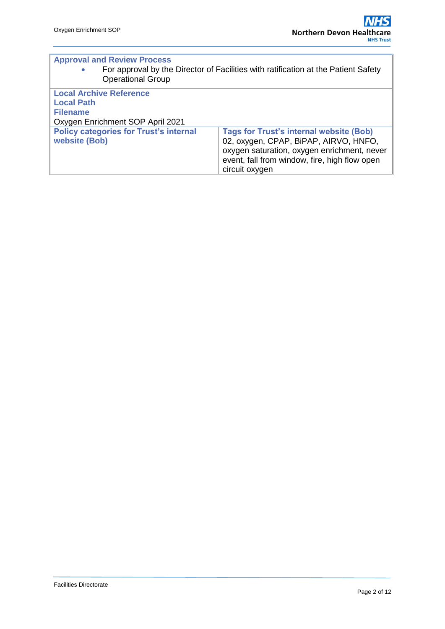| <b>Approval and Review Process</b><br>For approval by the Director of Facilities with ratification at the Patient Safety<br>$\bullet$<br><b>Operational Group</b> |                                                |  |  |  |  |
|-------------------------------------------------------------------------------------------------------------------------------------------------------------------|------------------------------------------------|--|--|--|--|
| <b>Local Archive Reference</b>                                                                                                                                    |                                                |  |  |  |  |
| <b>Local Path</b>                                                                                                                                                 |                                                |  |  |  |  |
| <b>Filename</b>                                                                                                                                                   |                                                |  |  |  |  |
| Oxygen Enrichment SOP April 2021                                                                                                                                  |                                                |  |  |  |  |
| <b>Policy categories for Trust's internal</b>                                                                                                                     | <b>Tags for Trust's internal website (Bob)</b> |  |  |  |  |
| website (Bob)                                                                                                                                                     | 02, oxygen, CPAP, BiPAP, AIRVO, HNFO,          |  |  |  |  |
|                                                                                                                                                                   | oxygen saturation, oxygen enrichment, never    |  |  |  |  |
|                                                                                                                                                                   | event, fall from window, fire, high flow open  |  |  |  |  |
|                                                                                                                                                                   | circuit oxygen                                 |  |  |  |  |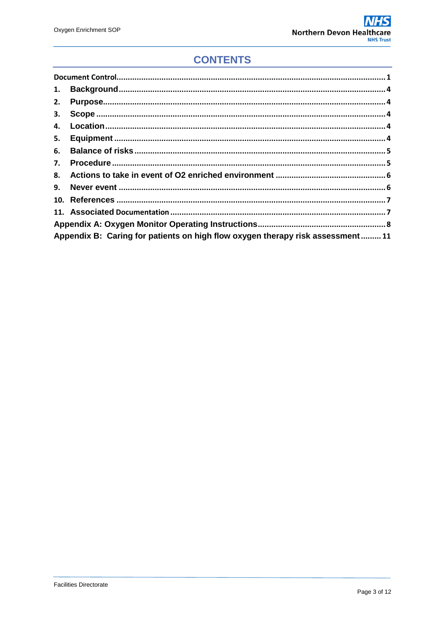# **CONTENTS**

| 1. |                                                                               |  |  |  |  |
|----|-------------------------------------------------------------------------------|--|--|--|--|
| 2. |                                                                               |  |  |  |  |
| 3. |                                                                               |  |  |  |  |
| 4. |                                                                               |  |  |  |  |
| 5. |                                                                               |  |  |  |  |
| 6. |                                                                               |  |  |  |  |
| 7. |                                                                               |  |  |  |  |
|    |                                                                               |  |  |  |  |
| 9. |                                                                               |  |  |  |  |
|    |                                                                               |  |  |  |  |
|    |                                                                               |  |  |  |  |
|    |                                                                               |  |  |  |  |
|    | Appendix B: Caring for patients on high flow oxygen therapy risk assessment11 |  |  |  |  |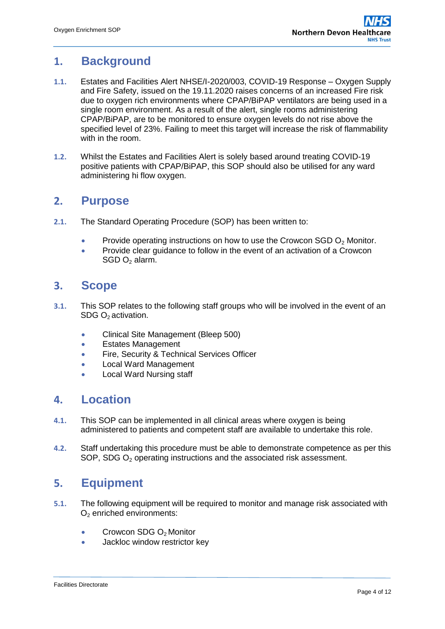### <span id="page-3-0"></span>**1. Background**

- **1.1.** Estates and Facilities Alert NHSE/I-2020/003, COVID-19 Response Oxygen Supply and Fire Safety, issued on the 19.11.2020 raises concerns of an increased Fire risk due to oxygen rich environments where CPAP/BiPAP ventilators are being used in a single room environment. As a result of the alert, single rooms administering CPAP/BiPAP, are to be monitored to ensure oxygen levels do not rise above the specified level of 23%. Failing to meet this target will increase the risk of flammability with in the room.
- **1.2.** Whilst the Estates and Facilities Alert is solely based around treating COVID-19 positive patients with CPAP/BiPAP, this SOP should also be utilised for any ward administering hi flow oxygen.

#### <span id="page-3-1"></span>**2. Purpose**

- **2.1.** The Standard Operating Procedure (SOP) has been written to:
	- Provide operating instructions on how to use the Crowcon SGD  $O<sub>2</sub>$  Monitor.
	- Provide clear guidance to follow in the event of an activation of a Crowcon  $SGD$  O<sub>2</sub> alarm.

#### <span id="page-3-2"></span>**3. Scope**

- **3.1.** This SOP relates to the following staff groups who will be involved in the event of an SDG O<sub>2</sub> activation.
	- Clinical Site Management (Bleep 500)
	- **Estates Management**
	- Fire, Security & Technical Services Officer
	- Local Ward Management
	- **.** Local Ward Nursing staff

#### <span id="page-3-3"></span>**4. Location**

- **4.1.** This SOP can be implemented in all clinical areas where oxygen is being administered to patients and competent staff are available to undertake this role.
- **4.2.** Staff undertaking this procedure must be able to demonstrate competence as per this SOP, SDG O<sup>2</sup> operating instructions and the associated risk assessment.

#### <span id="page-3-4"></span>**5. Equipment**

- **5.1.** The following equipment will be required to monitor and manage risk associated with  $O<sub>2</sub>$  enriched environments:
	- Crowcon SDG O<sub>2</sub> Monitor
	- Jackloc window restrictor key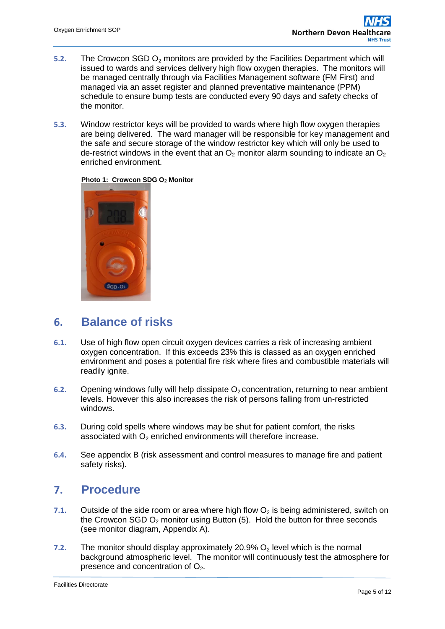- **5.2.** The Crowcon SGD O<sub>2</sub> monitors are provided by the Facilities Department which will issued to wards and services delivery high flow oxygen therapies. The monitors will be managed centrally through via Facilities Management software (FM First) and managed via an asset register and planned preventative maintenance (PPM) schedule to ensure bump tests are conducted every 90 days and safety checks of the monitor.
- **5.3.** Window restrictor keys will be provided to wards where high flow oxygen therapies are being delivered. The ward manager will be responsible for key management and the safe and secure storage of the window restrictor key which will only be used to de-restrict windows in the event that an  $O_2$  monitor alarm sounding to indicate an  $O_2$ enriched environment.



**Photo 1: Crowcon SDG O<sup>2</sup> Monitor**

### <span id="page-4-0"></span>**6. Balance of risks**

- **6.1.** Use of high flow open circuit oxygen devices carries a risk of increasing ambient oxygen concentration. If this exceeds 23% this is classed as an oxygen enriched environment and poses a potential fire risk where fires and combustible materials will readily ignite.
- **6.2.** Opening windows fully will help dissipate O<sub>2</sub> concentration, returning to near ambient levels. However this also increases the risk of persons falling from un-restricted windows.
- **6.3.** During cold spells where windows may be shut for patient comfort, the risks associated with  $O<sub>2</sub>$  enriched environments will therefore increase.
- **6.4.** See appendix B (risk assessment and control measures to manage fire and patient safety risks).

#### <span id="page-4-1"></span>**7. Procedure**

- **7.1.** Outside of the side room or area where high flow  $O_2$  is being administered, switch on the Crowcon SGD  $O<sub>2</sub>$  monitor using Button (5). Hold the button for three seconds (see monitor diagram, Appendix A).
- **7.2.** The monitor should display approximately 20.9%  $O_2$  level which is the normal background atmospheric level. The monitor will continuously test the atmosphere for presence and concentration of  $O<sub>2</sub>$ .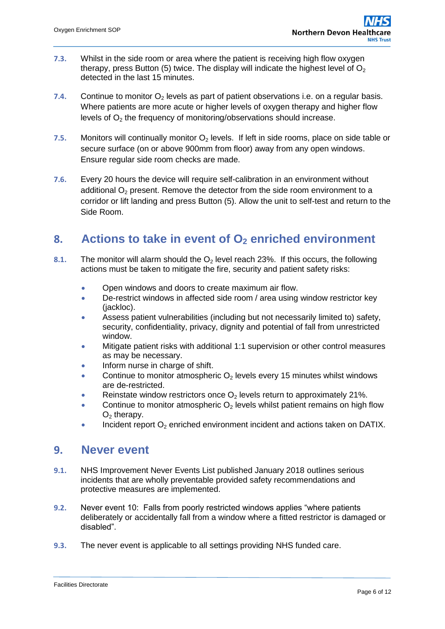- **7.3.** Whilst in the side room or area where the patient is receiving high flow oxygen therapy, press Button (5) twice. The display will indicate the highest level of  $O<sub>2</sub>$ detected in the last 15 minutes.
- **7.4.** Continue to monitor  $O<sub>2</sub>$  levels as part of patient observations i.e. on a regular basis. Where patients are more acute or higher levels of oxygen therapy and higher flow levels of  $O<sub>2</sub>$  the frequency of monitoring/observations should increase.
- **7.5.** Monitors will continually monitor  $O_2$  levels. If left in side rooms, place on side table or secure surface (on or above 900mm from floor) away from any open windows. Ensure regular side room checks are made.
- **7.6.** Every 20 hours the device will require self-calibration in an environment without additional  $O<sub>2</sub>$  present. Remove the detector from the side room environment to a corridor or lift landing and press Button (5). Allow the unit to self-test and return to the Side Room.

#### <span id="page-5-0"></span>**8. Actions to take in event of O<sup>2</sup> enriched environment**

- **8.1.** The monitor will alarm should the O<sub>2</sub> level reach 23%. If this occurs, the following actions must be taken to mitigate the fire, security and patient safety risks:
	- Open windows and doors to create maximum air flow.
	- De-restrict windows in affected side room / area using window restrictor key (jackloc).
	- Assess patient vulnerabilities (including but not necessarily limited to) safety, security, confidentiality, privacy, dignity and potential of fall from unrestricted window.
	- Mitigate patient risks with additional 1:1 supervision or other control measures as may be necessary.
	- Inform nurse in charge of shift.
	- Continue to monitor atmospheric  $O_2$  levels every 15 minutes whilst windows are de-restricted.
	- Reinstate window restrictors once  $O_2$  levels return to approximately 21%.
	- Continue to monitor atmospheric  $O<sub>2</sub>$  levels whilst patient remains on high flow  $O<sub>2</sub>$  therapy.
	- Incident report  $O_2$  enriched environment incident and actions taken on DATIX.

#### <span id="page-5-1"></span>**9. Never event**

- **9.1.** NHS Improvement Never Events List published January 2018 outlines serious incidents that are wholly preventable provided safety recommendations and protective measures are implemented.
- **9.2.** Never event 10: Falls from poorly restricted windows applies "where patients deliberately or accidentally fall from a window where a fitted restrictor is damaged or disabled".
- **9.3.** The never event is applicable to all settings providing NHS funded care.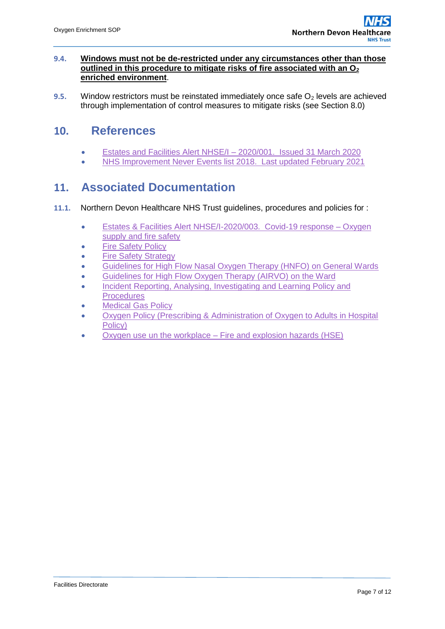#### **9.4. Windows must not be de-restricted under any circumstances other than those outlined in this procedure to mitigate risks of fire associated with an O<sup>2</sup> enriched environment**.

**9.5.** Window restrictors must be reinstated immediately once safe  $O<sub>2</sub>$  levels are achieved through implementation of control measures to mitigate risks (see Section 8.0)

#### **10. References**

- <span id="page-6-0"></span>[Estates and Facilities Alert NHSE/I –](https://www.cas.mhra.gov.uk/ViewandAcknowledgment/ViewAlert.aspx?AlertID=103024) 2020/001. Issued 31 March 2020
- [NHS Improvement Never Events list 2018. Last updated February 2021](https://www.england.nhs.uk/publication/never-events/)

#### <span id="page-6-1"></span>**11. Associated Documentation**

- **11.1.** Northern Devon Healthcare NHS Trust guidelines, procedures and policies for :
	- [Estates & Facilities Alert NHSE/I-2020/003. Covid-19 response –](https://www.cas.mhra.gov.uk/ViewandAcknowledgment/ViewAlert.aspx?AlertID=103024) Oxygen [supply and fire safety](https://www.cas.mhra.gov.uk/ViewandAcknowledgment/ViewAlert.aspx?AlertID=103024)
	- [Fire Safety Policy](https://ndht.ndevon.swest.nhs.uk/fire-safety-policy/)
	- [Fire Safety Strategy](https://ndht.ndevon.swest.nhs.uk/fire-safety-strategy/)
	- [Guidelines for High Flow Nasal Oxygen Therapy \(HNFO\) on General Wards](https://www.northdevonhealth.nhs.uk/2020/05/guidelines-for-high-flow-nasal-oxygen-therapy-hfno-on-general-wards/)
	- [Guidelines for High Flow Oxygen Therapy \(AIRVO\) on the Ward](https://www.northdevonhealth.nhs.uk/2019/12/guidelines-for-high-flow-oxygen-therapy-airvo-on-the-wards/)
	- Incident Reporting, Analysing, Investigating and Learning Policy and **[Procedures](https://ndht.ndevon.swest.nhs.uk/incident-reporting-and-management-policy/)**
	- [Medical Gas Policy](https://www.northdevonhealth.nhs.uk/wp-content/uploads/2019/02/Medical-Gas-Policy-V3.0.pdf)
	- [Oxygen Policy \(Prescribing & Administration of Oxygen to Adults in Hospital](https://ndht.ndevon.swest.nhs.uk/oxygen-policy-prescribing-administration-of-oxygen-to-adults-in-hospital-policy/)  [Policy\)](https://ndht.ndevon.swest.nhs.uk/oxygen-policy-prescribing-administration-of-oxygen-to-adults-in-hospital-policy/)
	- Oxygen use un the workplace [Fire and explosion hazards \(HSE\)](https://ndht.ndevon.swest.nhs.uk/oxygen-use-in-the-workplace-fire-and-explosion-hazards-health-and-safety-executive/)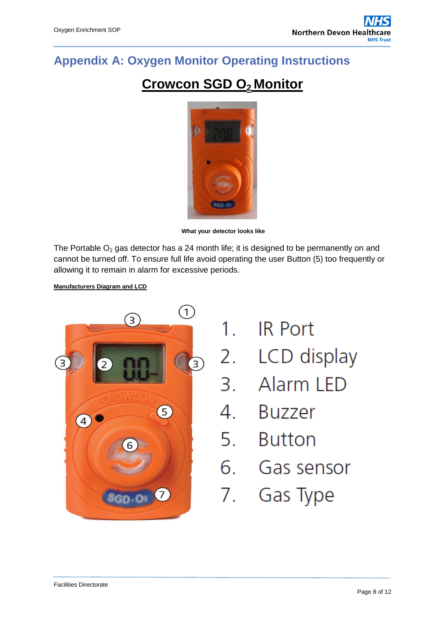# <span id="page-7-0"></span>**Appendix A: Oxygen Monitor Operating Instructions**

# **Crowcon SGD O<sup>2</sup> Monitor**



**What your detector looks like**

The Portable  $O_2$  gas detector has a 24 month life; it is designed to be permanently on and cannot be turned off. To ensure full life avoid operating the user Button (5) too frequently or allowing it to remain in alarm for excessive periods.

#### **Manufacturers Diagram and LCD**



- 1. IR Port
- 2. LCD display
- 3. Alarm LED
- 4. Buzzer
- 5. Button
- 6. Gas sensor
- 7. Gas Type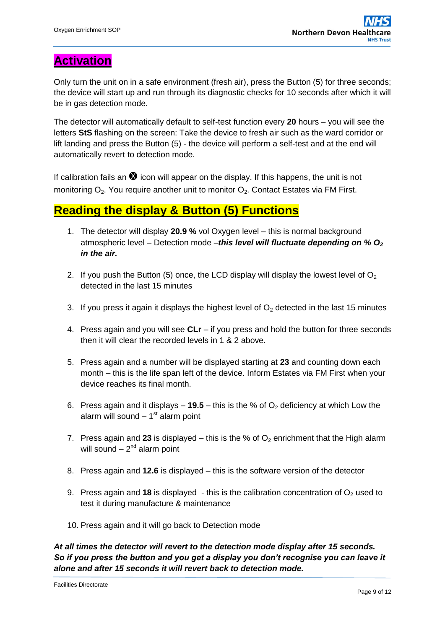## **Activation**

Only turn the unit on in a safe environment (fresh air), press the Button (5) for three seconds; the device will start up and run through its diagnostic checks for 10 seconds after which it will be in gas detection mode.

The detector will automatically default to self-test function every **20** hours – you will see the letters **StS** flashing on the screen: Take the device to fresh air such as the ward corridor or lift landing and press the Button (5) - the device will perform a self-test and at the end will automatically revert to detection mode.

If calibration fails an  $\bullet$  icon will appear on the display. If this happens, the unit is not monitoring  $O_2$ . You require another unit to monitor  $O_2$ . Contact Estates via FM First.

### **Reading the display & Button (5) Functions**

- 1. The detector will display **20.9 %** vol Oxygen level this is normal background atmospheric level – Detection mode –*this level will fluctuate depending on % O<sup>2</sup> in the air.*
- 2. If you push the Button (5) once, the LCD display will display the lowest level of  $O<sub>2</sub>$ detected in the last 15 minutes
- 3. If you press it again it displays the highest level of  $O<sub>2</sub>$  detected in the last 15 minutes
- 4. Press again and you will see **CLr**  if you press and hold the button for three seconds then it will clear the recorded levels in 1 & 2 above.
- 5. Press again and a number will be displayed starting at **23** and counting down each month – this is the life span left of the device. Inform Estates via FM First when your device reaches its final month.
- 6. Press again and it displays  $-$  **19.5** this is the % of  $O<sub>2</sub>$  deficiency at which Low the alarm will sound - 1<sup>st</sup> alarm point
- 7. Press again and 23 is displayed this is the % of  $O<sub>2</sub>$  enrichment that the High alarm will sound  $-2<sup>nd</sup>$  alarm point
- 8. Press again and **12.6** is displayed this is the software version of the detector
- 9. Press again and 18 is displayed  $\overline{\phantom{a}}$  this is the calibration concentration of  $O_2$  used to test it during manufacture & maintenance
- 10. Press again and it will go back to Detection mode

*At all times the detector will revert to the detection mode display after 15 seconds. So if you press the button and you get a display you don't recognise you can leave it alone and after 15 seconds it will revert back to detection mode.*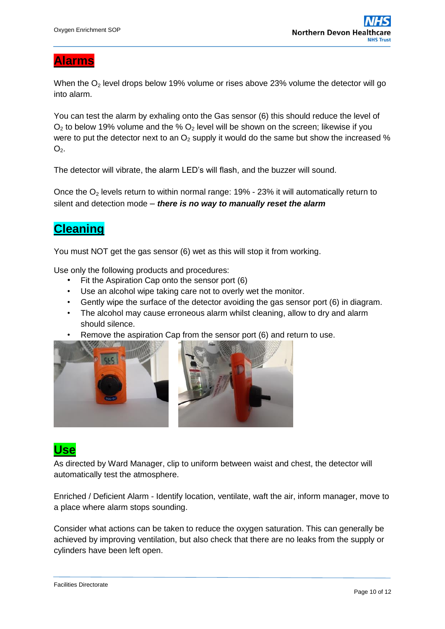#### **Alarms**

When the  $O<sub>2</sub>$  level drops below 19% volume or rises above 23% volume the detector will go into alarm.

You can test the alarm by exhaling onto the Gas sensor (6) this should reduce the level of  $O<sub>2</sub>$  to below 19% volume and the %  $O<sub>2</sub>$  level will be shown on the screen; likewise if you were to put the detector next to an  $O<sub>2</sub>$  supply it would do the same but show the increased %  $O<sub>2</sub>$ .

The detector will vibrate, the alarm LED's will flash, and the buzzer will sound.

Once the  $O_2$  levels return to within normal range: 19% - 23% it will automatically return to silent and detection mode – *there is no way to manually reset the alarm*

# **Cleaning**

You must NOT get the gas sensor (6) wet as this will stop it from working.

Use only the following products and procedures:

- Fit the Aspiration Cap onto the sensor port (6)
- Use an alcohol wipe taking care not to overly wet the monitor.
- Gently wipe the surface of the detector avoiding the gas sensor port (6) in diagram.
- The alcohol may cause erroneous alarm whilst cleaning, allow to dry and alarm should silence.
- Remove the aspiration Cap from the sensor port (6) and return to use.



## **Use**

As directed by Ward Manager, clip to uniform between waist and chest, the detector will automatically test the atmosphere.

Enriched / Deficient Alarm - Identify location, ventilate, waft the air, inform manager, move to a place where alarm stops sounding.

Consider what actions can be taken to reduce the oxygen saturation. This can generally be achieved by improving ventilation, but also check that there are no leaks from the supply or cylinders have been left open.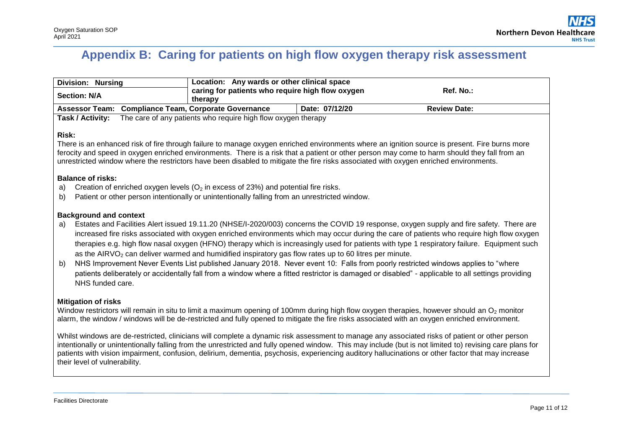# **Appendix B: Caring for patients on high flow oxygen therapy risk assessment**

| <b>Division: Nursing</b>                                                                                                                                                                                                                                                                                                                                                                                                                                                                                                                                                                                                                                                                                                                                                                                                                                                   | Location: Any wards or other clinical space                   |                |                     |  |  |  |
|----------------------------------------------------------------------------------------------------------------------------------------------------------------------------------------------------------------------------------------------------------------------------------------------------------------------------------------------------------------------------------------------------------------------------------------------------------------------------------------------------------------------------------------------------------------------------------------------------------------------------------------------------------------------------------------------------------------------------------------------------------------------------------------------------------------------------------------------------------------------------|---------------------------------------------------------------|----------------|---------------------|--|--|--|
| <b>Section: N/A</b>                                                                                                                                                                                                                                                                                                                                                                                                                                                                                                                                                                                                                                                                                                                                                                                                                                                        | caring for patients who require high flow oxygen<br>therapy   | Ref. No.:      |                     |  |  |  |
| Assessor Team: Compliance Team, Corporate Governance                                                                                                                                                                                                                                                                                                                                                                                                                                                                                                                                                                                                                                                                                                                                                                                                                       |                                                               | Date: 07/12/20 | <b>Review Date:</b> |  |  |  |
| Task / Activity:                                                                                                                                                                                                                                                                                                                                                                                                                                                                                                                                                                                                                                                                                                                                                                                                                                                           | The care of any patients who require high flow oxygen therapy |                |                     |  |  |  |
| <b>Risk:</b><br>There is an enhanced risk of fire through failure to manage oxygen enriched environments where an ignition source is present. Fire burns more<br>ferocity and speed in oxygen enriched environments. There is a risk that a patient or other person may come to harm should they fall from an<br>unrestricted window where the restrictors have been disabled to mitigate the fire risks associated with oxygen enriched environments.<br><b>Balance of risks:</b><br>Creation of enriched oxygen levels ( $O2$ in excess of 23%) and potential fire risks.<br>a)<br>Patient or other person intentionally or unintentionally falling from an unrestricted window.<br>b)                                                                                                                                                                                   |                                                               |                |                     |  |  |  |
| <b>Background and context</b>                                                                                                                                                                                                                                                                                                                                                                                                                                                                                                                                                                                                                                                                                                                                                                                                                                              |                                                               |                |                     |  |  |  |
| Estates and Facilities Alert issued 19.11.20 (NHSE/I-2020/003) concerns the COVID 19 response, oxygen supply and fire safety. There are<br>a)<br>increased fire risks associated with oxygen enriched environments which may occur during the care of patients who require high flow oxygen<br>therapies e.g. high flow nasal oxygen (HFNO) therapy which is increasingly used for patients with type 1 respiratory failure. Equipment such<br>as the $AIRVO2$ can deliver warmed and humidified inspiratory gas flow rates up to 60 litres per minute.<br>NHS Improvement Never Events List published January 2018. Never event 10: Falls from poorly restricted windows applies to "where<br>b)<br>patients deliberately or accidentally fall from a window where a fitted restrictor is damaged or disabled" - applicable to all settings providing<br>NHS funded care. |                                                               |                |                     |  |  |  |
| <b>Mitigation of risks</b><br>Window restrictors will remain in situ to limit a maximum opening of 100mm during high flow oxygen therapies, however should an O <sub>2</sub> monitor<br>alarm, the window / windows will be de-restricted and fully opened to mitigate the fire risks associated with an oxygen enriched environment.<br>Whilst windows are de-restricted, clinicians will complete a dynamic risk assessment to manage any associated risks of patient or other person                                                                                                                                                                                                                                                                                                                                                                                    |                                                               |                |                     |  |  |  |

<span id="page-10-0"></span>Whilst windows are de-restricted, clinicians will complete a dynamic risk assessment to manage any associated risks of patient or other person intentionally or unintentionally falling from the unrestricted and fully opened window. This may include (but is not limited to) revising care plans for patients with vision impairment, confusion, delirium, dementia, psychosis, experiencing auditory hallucinations or other factor that may increase their level of vulnerability.

Facilities Directorate